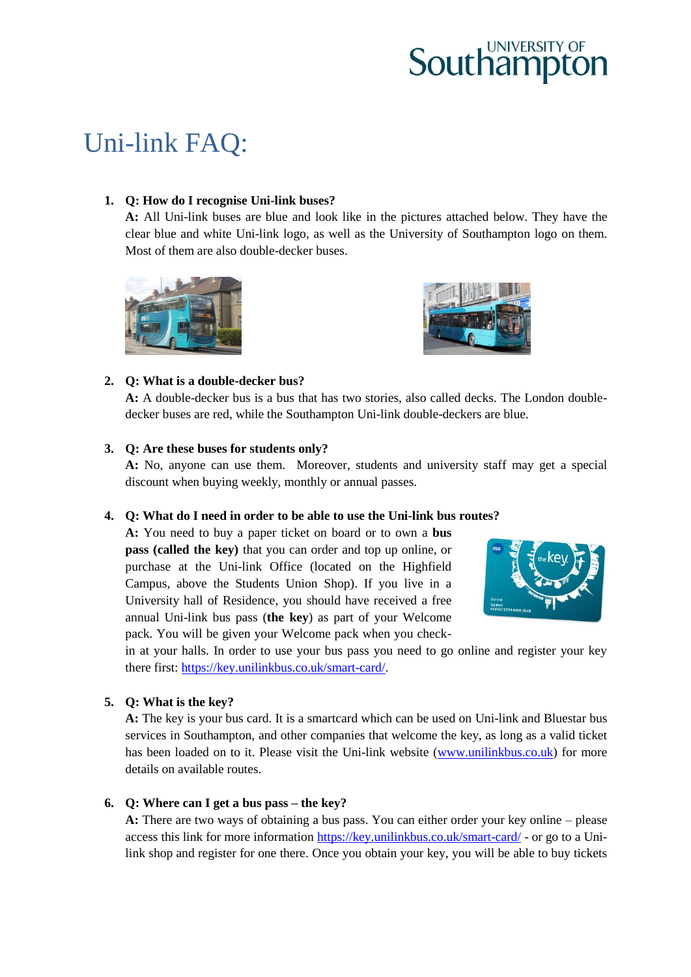# Uni-link FAQ:

# **1. Q: How do I recognise Uni-link buses?**

**A:** All Uni-link buses are blue and look like in the pictures attached below. They have the clear blue and white Uni-link logo, as well as the University of Southampton logo on them. Most of them are also double-decker buses.





# **2. Q: What is a double-decker bus?**

**A:** A double-decker bus is a bus that has two stories, also called decks. The London doubledecker buses are red, while the Southampton Uni-link double-deckers are blue.

# **3. Q: Are these buses for students only?**

**A:** No, anyone can use them. Moreover, students and university staff may get a special discount when buying weekly, monthly or annual passes.

### **4. Q: What do I need in order to be able to use the Uni-link bus routes?**

**A:** You need to buy a paper ticket on board or to own a **bus pass (called the key)** that you can order and top up online, or purchase at the Uni-link Office (located on the Highfield Campus, above the Students Union Shop). If you live in a University hall of Residence, you should have received a free annual Uni-link bus pass (**the key**) as part of your Welcome pack. You will be given your Welcome pack when you check-



in at your halls. In order to use your bus pass you need to go online and register your key there first: [https://key.unilinkbus.co.uk/smart-card/.](https://key.unilinkbus.co.uk/smart-card/)

# **5. Q: What is the key?**

**A:** The key is your bus card. It is a smartcard which can be used on Uni-link and Bluestar bus services in Southampton, and other companies that welcome the key, as long as a valid ticket has been loaded on to it. Please visit the Uni-link website [\(www.unilinkbus.co.uk\)](http://www.unilinkbus.co.uk/) for more details on available routes.

# **6. Q: Where can I get a bus pass – the key?**

**A:** There are two ways of obtaining a bus pass. You can either order your key online – please access this link for more information<https://key.unilinkbus.co.uk/smart-card/> - or go to a Unilink shop and register for one there. Once you obtain your key, you will be able to buy tickets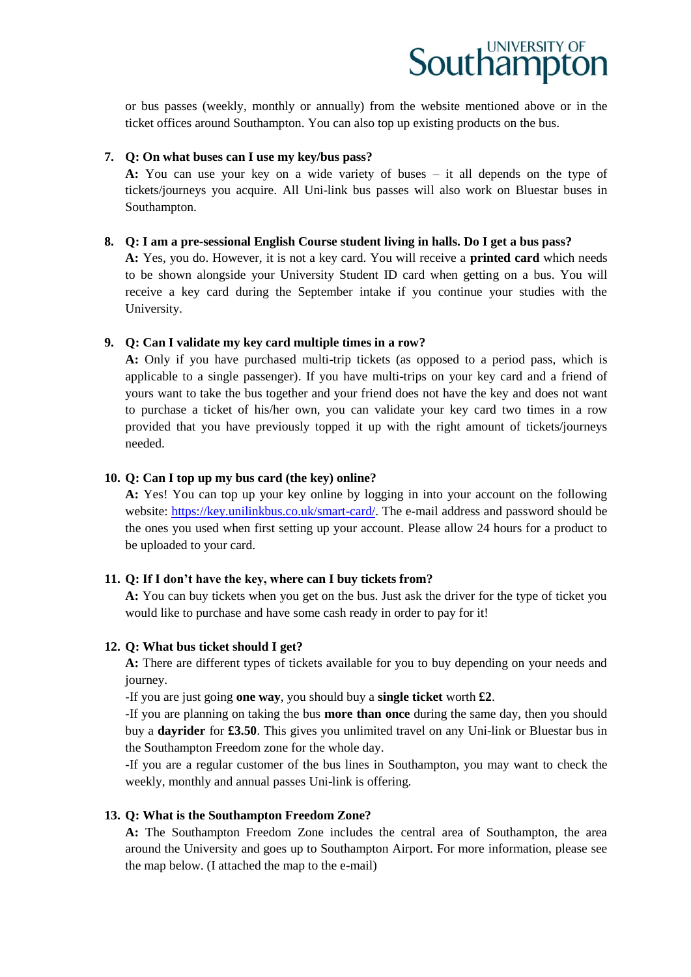or bus passes (weekly, monthly or annually) from the website mentioned above or in the ticket offices around Southampton. You can also top up existing products on the bus.

#### **7. Q: On what buses can I use my key/bus pass?**

**A:** You can use your key on a wide variety of buses – it all depends on the type of tickets/journeys you acquire. All Uni-link bus passes will also work on Bluestar buses in Southampton.

#### **8. Q: I am a pre-sessional English Course student living in halls. Do I get a bus pass?**

**A:** Yes, you do. However, it is not a key card. You will receive a **printed card** which needs to be shown alongside your University Student ID card when getting on a bus. You will receive a key card during the September intake if you continue your studies with the University.

#### **9. Q: Can I validate my key card multiple times in a row?**

**A:** Only if you have purchased multi-trip tickets (as opposed to a period pass, which is applicable to a single passenger). If you have multi-trips on your key card and a friend of yours want to take the bus together and your friend does not have the key and does not want to purchase a ticket of his/her own, you can validate your key card two times in a row provided that you have previously topped it up with the right amount of tickets/journeys needed.

#### **10. Q: Can I top up my bus card (the key) online?**

**A:** Yes! You can top up your key online by logging in into your account on the following website: [https://key.unilinkbus.co.uk/smart-card/.](https://key.unilinkbus.co.uk/smart-card/) The e-mail address and password should be the ones you used when first setting up your account. Please allow 24 hours for a product to be uploaded to your card.

### **11. Q: If I don't have the key, where can I buy tickets from?**

**A:** You can buy tickets when you get on the bus. Just ask the driver for the type of ticket you would like to purchase and have some cash ready in order to pay for it!

### **12. Q: What bus ticket should I get?**

**A:** There are different types of tickets available for you to buy depending on your needs and journey.

**-**If you are just going **one way**, you should buy a **single ticket** worth **£2**.

**-**If you are planning on taking the bus **more than once** during the same day, then you should buy a **dayrider** for **£3.50**. This gives you unlimited travel on any Uni-link or Bluestar bus in the Southampton Freedom zone for the whole day.

**-**If you are a regular customer of the bus lines in Southampton, you may want to check the weekly, monthly and annual passes Uni-link is offering.

#### **13. Q: What is the Southampton Freedom Zone?**

**A:** The Southampton Freedom Zone includes the central area of Southampton, the area around the University and goes up to Southampton Airport. For more information, please see the map below. (I attached the map to the e-mail)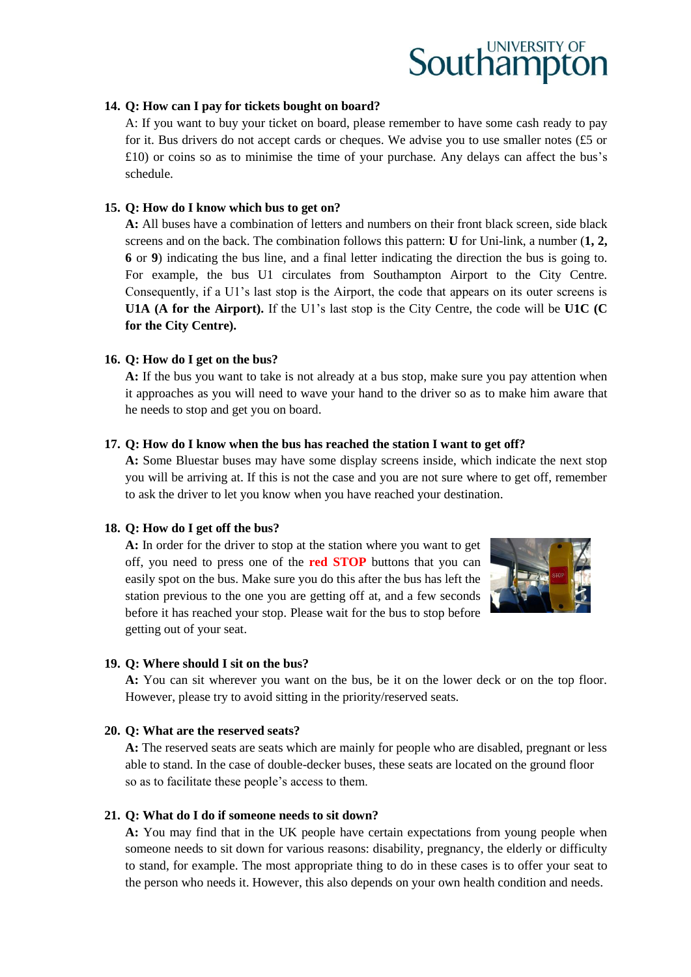#### **14. Q: How can I pay for tickets bought on board?**

A: If you want to buy your ticket on board, please remember to have some cash ready to pay for it. Bus drivers do not accept cards or cheques. We advise you to use smaller notes (£5 or £10) or coins so as to minimise the time of your purchase. Any delays can affect the bus's schedule.

#### **15. Q: How do I know which bus to get on?**

**A:** All buses have a combination of letters and numbers on their front black screen, side black screens and on the back. The combination follows this pattern: **U** for Uni-link, a number (**1, 2, 6** or **9**) indicating the bus line, and a final letter indicating the direction the bus is going to. For example, the bus U1 circulates from Southampton Airport to the City Centre. Consequently, if a U1's last stop is the Airport, the code that appears on its outer screens is **U1A (A for the Airport).** If the U1's last stop is the City Centre, the code will be **U1C (C for the City Centre).**

#### **16. Q: How do I get on the bus?**

**A:** If the bus you want to take is not already at a bus stop, make sure you pay attention when it approaches as you will need to wave your hand to the driver so as to make him aware that he needs to stop and get you on board.

#### **17. Q: How do I know when the bus has reached the station I want to get off?**

**A:** Some Bluestar buses may have some display screens inside, which indicate the next stop you will be arriving at. If this is not the case and you are not sure where to get off, remember to ask the driver to let you know when you have reached your destination.

#### **18. Q: How do I get off the bus?**

**A:** In order for the driver to stop at the station where you want to get off, you need to press one of the **red STOP** buttons that you can easily spot on the bus. Make sure you do this after the bus has left the station previous to the one you are getting off at, and a few seconds before it has reached your stop. Please wait for the bus to stop before getting out of your seat.



#### **19. Q: Where should I sit on the bus?**

**A:** You can sit wherever you want on the bus, be it on the lower deck or on the top floor. However, please try to avoid sitting in the priority/reserved seats.

#### **20. Q: What are the reserved seats?**

**A:** The reserved seats are seats which are mainly for people who are disabled, pregnant or less able to stand. In the case of double-decker buses, these seats are located on the ground floor so as to facilitate these people's access to them.

#### **21. Q: What do I do if someone needs to sit down?**

**A:** You may find that in the UK people have certain expectations from young people when someone needs to sit down for various reasons: disability, pregnancy, the elderly or difficulty to stand, for example. The most appropriate thing to do in these cases is to offer your seat to the person who needs it. However, this also depends on your own health condition and needs.